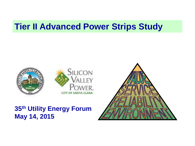#### **Tier II Advanced Power Strips Study**





#### **35th Utility Energy Forum May 14, 2015**

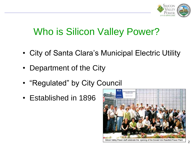

#### Who is Silicon Valley Power?

- City of Santa Clara's Municipal Electric Utility
- Department of the City
- "Regulated" by City Council
- Established in 1896



Silicon Valley Power staff celebrate the opening of the Donald Von Raesfeld Power Plant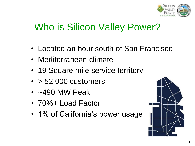

#### Who is Silicon Valley Power?

- Located an hour south of San Francisco
- Mediterranean climate
- 19 Square mile service territory
- $\cdot$  > 52,000 customers
- $\cdot$  ~490 MW Peak
- 70%+ Load Factor
- 1% of California's power usage

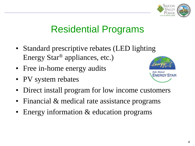

#### Residential Programs

- Standard prescriptive rebates (LED lighting Energy Star® appliances, etc.)
- Free in-home energy audits
- PV system rebates



- Direct install program for low income customers
- Financial & medical rate assistance programs
- Energy information & education programs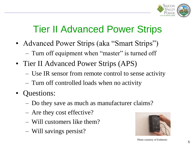

#### Tier II Advanced Power Strips

- Advanced Power Strips (aka "Smart Strips")
	- Turn off equipment when "master" is turned off
- Tier II Advanced Power Strips (APS)
	- Use IR sensor from remote control to sense activity
	- Turn off controlled loads when no activity
- Questions:
	- Do they save as much as manufacturer claims?
	- Are they cost effective?
	- Will customers like them?
	- Will savings persist?



Photo courtesy of Embertec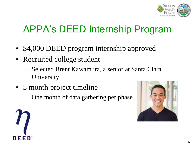

#### APPA's DEED Internship Program

- \$4,000 DEED program internship approved
- Recruited college student
	- Selected Brent Kawamura, a senior at Santa Clara University
- 5 month project timeline
	- One month of data gathering per phase



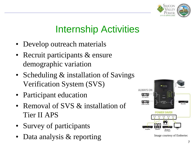

#### Internship Activities

- Develop outreach materials
- Recruit participants & ensure demographic variation
- Scheduling & installation of Savings Verification System (SVS)
- Participant education
- Removal of SVS & installation of Tier II APS
- Survey of participants
- Data analysis & reporting Image courtesy of Embertec

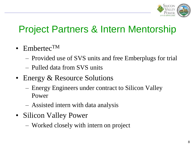

#### Project Partners & Intern Mentorship

- Embertec<sup>TM</sup>
	- Provided use of SVS units and free Emberplugs for trial
	- Pulled data from SVS units
- Energy & Resource Solutions
	- Energy Engineers under contract to Silicon Valley Power
	- Assisted intern with data analysis
- Silicon Valley Power
	- Worked closely with intern on project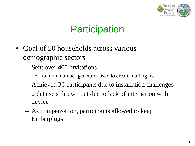

#### **Participation**

- Goal of 50 households across various demographic sectors
	- Sent over 400 invitations
		- Random number generator used to create mailing list
	- Achieved 36 participants due to installation challenges
	- 2 data sets thrown out due to lack of interaction with device
	- As compensation, participants allowed to keep **Emberplugs**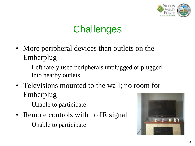

#### **Challenges**

- More peripheral devices than outlets on the Emberplug
	- Left rarely used peripherals unplugged or plugged into nearby outlets
- Televisions mounted to the wall; no room for Emberplug
	- Unable to participate
- Remote controls with no IR signal
	- Unable to participate

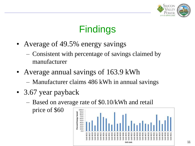

### Findings

- Average of 49.5% energy savings
	- Consistent with percentage of savings claimed by manufacturer
- Average annual savings of 163.9 kWh
	- Manufacturer claims 486 kWh in annual savings
- 3.67 year payback
	- Based on average rate of \$0.10/kWh and retail

price of \$60

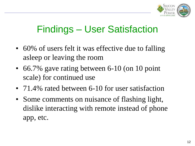

#### Findings – User Satisfaction

- 60% of users felt it was effective due to falling asleep or leaving the room
- 66.7% gave rating between 6-10 (on 10 point scale) for continued use
- 71.4% rated between 6-10 for user satisfaction
- Some comments on nuisance of flashing light, dislike interacting with remote instead of phone app, etc.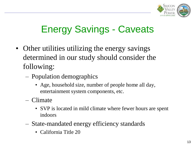

### Energy Savings - Caveats

- Other utilities utilizing the energy savings determined in our study should consider the following:
	- Population demographics
		- Age, household size, number of people home all day, entertainment system components, etc.
	- Climate
		- SVP is located in mild climate where fewer hours are spent indoors
	- State-mandated energy efficiency standards
		- California Title 20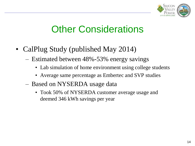

#### **Other Considerations**

- CalPlug Study (published May 2014)
	- Estimated between 48%-53% energy savings
		- Lab simulation of home environment using college students
		- Average same percentage as Embertec and SVP studies
	- Based on NYSERDA usage data
		- Took 50% of NYSERDA customer average usage and deemed 346 kWh savings per year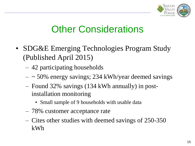

#### **Other Considerations**

- SDG&E Emerging Technologies Program Study (Published April 2015)
	- 42 participating households
	- $-$  ~ 50% energy savings; 234 kWh/year deemed savings
	- Found 32% savings (134 kWh annually) in postinstallation monitoring
		- Small sample of 9 households with usable data
	- 78% customer acceptance rate
	- Cites other studies with deemed savings of 250-350 kWh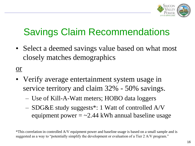

## Savings Claim Recommendations

• Select a deemed savings value based on what most closely matches demographics

or

- Verify average entertainment system usage in service territory and claim 32% - 50% savings.
	- Use of Kill-A-Watt meters; HOBO data loggers
	- SDG&E study suggests\*: 1 Watt of controlled A/V equipment power  $= \sim 2.44$  kWh annual baseline usage

<sup>\*</sup>This correlation in controlled A/V equipment power and baseline usage is based on a small sample and is suggested as a way to "potentially simplify the development or evaluation of a Tier 2 A/V program."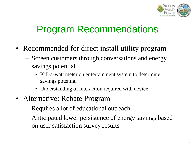

#### Program Recommendations

- Recommended for direct install utility program
	- Screen customers through conversations and energy savings potential
		- Kill-a-watt meter on entertainment system to determine savings potential
		- Understanding of interaction required with device
- Alternative: Rebate Program
	- Requires a lot of educational outreach
	- Anticipated lower persistence of energy savings based on user satisfaction survey results